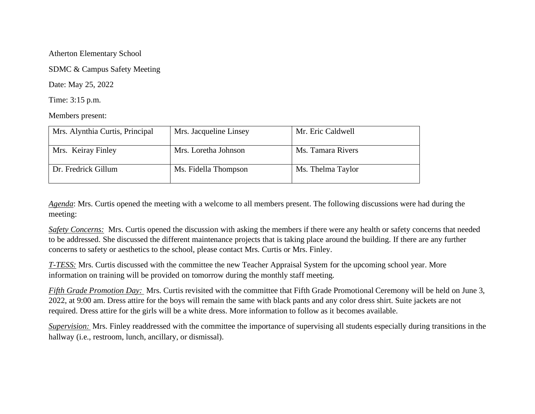## Atherton Elementary School

SDMC & Campus Safety Meeting

Date: May 25, 2022

Time: 3:15 p.m.

Members present:

| Mrs. Alynthia Curtis, Principal | Mrs. Jacqueline Linsey | Mr. Eric Caldwell |
|---------------------------------|------------------------|-------------------|
| Mrs. Keiray Finley              | Mrs. Loretha Johnson   | Ms. Tamara Rivers |
| Dr. Fredrick Gillum             | Ms. Fidella Thompson   | Ms. Thelma Taylor |

*Agenda*: Mrs. Curtis opened the meeting with a welcome to all members present. The following discussions were had during the meeting:

*Safety Concerns:* Mrs. Curtis opened the discussion with asking the members if there were any health or safety concerns that needed to be addressed. She discussed the different maintenance projects that is taking place around the building. If there are any further concerns to safety or aesthetics to the school, please contact Mrs. Curtis or Mrs. Finley.

*T-TESS:* Mrs. Curtis discussed with the committee the new Teacher Appraisal System for the upcoming school year. More information on training will be provided on tomorrow during the monthly staff meeting.

*Fifth Grade Promotion Day:* Mrs. Curtis revisited with the committee that Fifth Grade Promotional Ceremony will be held on June 3, 2022, at 9:00 am. Dress attire for the boys will remain the same with black pants and any color dress shirt. Suite jackets are not required. Dress attire for the girls will be a white dress. More information to follow as it becomes available.

*Supervision:* Mrs. Finley readdressed with the committee the importance of supervising all students especially during transitions in the hallway (i.e., restroom, lunch, ancillary, or dismissal).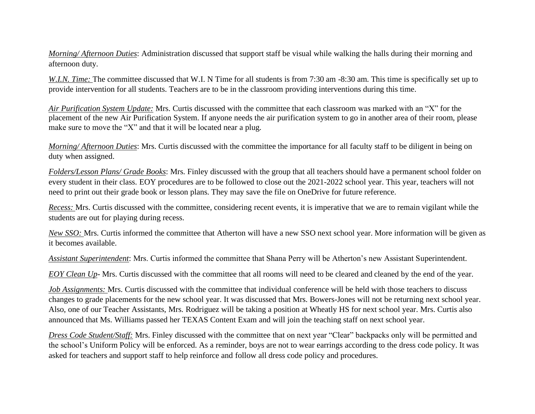*Morning/ Afternoon Duties*: Administration discussed that support staff be visual while walking the halls during their morning and afternoon duty.

*W.I.N. Time:* The committee discussed that W.I. N Time for all students is from 7:30 am -8:30 am. This time is specifically set up to provide intervention for all students. Teachers are to be in the classroom providing interventions during this time.

*Air Purification System Update:* Mrs. Curtis discussed with the committee that each classroom was marked with an "X" for the placement of the new Air Purification System. If anyone needs the air purification system to go in another area of their room, please make sure to move the "X" and that it will be located near a plug.

*Morning/ Afternoon Duties*: Mrs. Curtis discussed with the committee the importance for all faculty staff to be diligent in being on duty when assigned.

*Folders/Lesson Plans/ Grade Books*: Mrs. Finley discussed with the group that all teachers should have a permanent school folder on every student in their class. EOY procedures are to be followed to close out the 2021-2022 school year. This year, teachers will not need to print out their grade book or lesson plans. They may save the file on OneDrive for future reference.

*Recess:* Mrs. Curtis discussed with the committee, considering recent events, it is imperative that we are to remain vigilant while the students are out for playing during recess.

*New SSO:* Mrs. Curtis informed the committee that Atherton will have a new SSO next school year. More information will be given as it becomes available.

*Assistant Superintendent*: Mrs. Curtis informed the committee that Shana Perry will be Atherton's new Assistant Superintendent.

*EOY Clean Up*- Mrs. Curtis discussed with the committee that all rooms will need to be cleared and cleaned by the end of the year.

*Job Assignments:* Mrs. Curtis discussed with the committee that individual conference will be held with those teachers to discuss changes to grade placements for the new school year. It was discussed that Mrs. Bowers-Jones will not be returning next school year. Also, one of our Teacher Assistants, Mrs. Rodriguez will be taking a position at Wheatly HS for next school year. Mrs. Curtis also announced that Ms. Williams passed her TEXAS Content Exam and will join the teaching staff on next school year.

*Dress Code Student/Staff:* Mrs. Finley discussed with the committee that on next year "Clear" backpacks only will be permitted and the school's Uniform Policy will be enforced. As a reminder, boys are not to wear earrings according to the dress code policy. It was asked for teachers and support staff to help reinforce and follow all dress code policy and procedures.